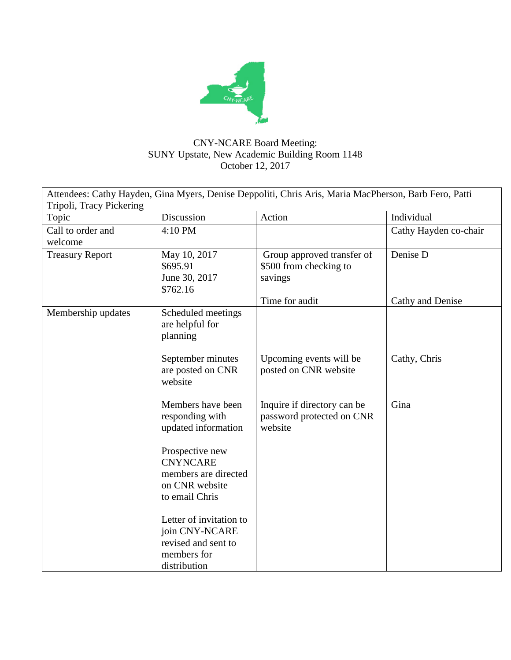

## CNY-NCARE Board Meeting: SUNY Upstate, New Academic Building Room 1148 October 12, 2017

| Attendees: Cathy Hayden, Gina Myers, Denise Deppoliti, Chris Aris, Maria MacPherson, Barb Fero, Patti |                                                                                                 |                                                                                   |                              |  |  |  |
|-------------------------------------------------------------------------------------------------------|-------------------------------------------------------------------------------------------------|-----------------------------------------------------------------------------------|------------------------------|--|--|--|
| Tripoli, Tracy Pickering                                                                              |                                                                                                 |                                                                                   |                              |  |  |  |
| Topic                                                                                                 | Discussion                                                                                      | Action                                                                            | Individual                   |  |  |  |
| Call to order and                                                                                     | 4:10 PM                                                                                         |                                                                                   | Cathy Hayden co-chair        |  |  |  |
| welcome                                                                                               |                                                                                                 |                                                                                   |                              |  |  |  |
| <b>Treasury Report</b>                                                                                | May 10, 2017<br>\$695.91<br>June 30, 2017<br>\$762.16                                           | Group approved transfer of<br>\$500 from checking to<br>savings<br>Time for audit | Denise D<br>Cathy and Denise |  |  |  |
| Membership updates                                                                                    | Scheduled meetings<br>are helpful for<br>planning                                               |                                                                                   |                              |  |  |  |
|                                                                                                       | September minutes<br>are posted on CNR<br>website                                               | Upcoming events will be<br>posted on CNR website                                  | Cathy, Chris                 |  |  |  |
|                                                                                                       | Members have been<br>responding with<br>updated information                                     | Inquire if directory can be<br>password protected on CNR<br>website               | Gina                         |  |  |  |
|                                                                                                       | Prospective new<br><b>CNYNCARE</b><br>members are directed<br>on CNR website<br>to email Chris  |                                                                                   |                              |  |  |  |
|                                                                                                       | Letter of invitation to<br>join CNY-NCARE<br>revised and sent to<br>members for<br>distribution |                                                                                   |                              |  |  |  |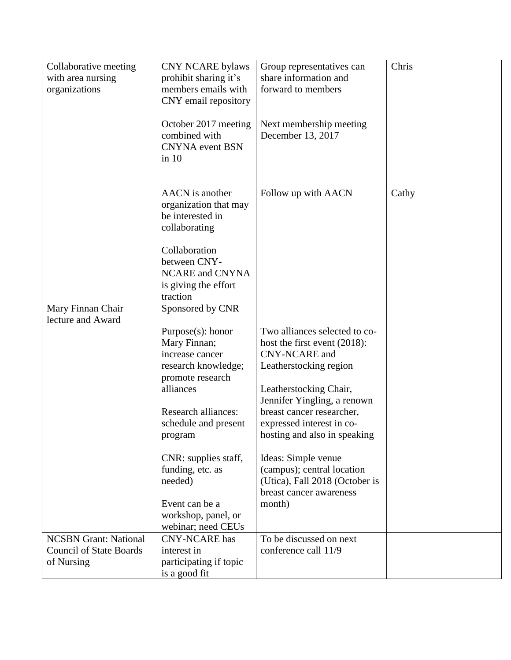| Collaborative meeting<br>with area nursing<br>organizations                  | <b>CNY NCARE bylaws</b><br>prohibit sharing it's<br>members emails with                                         | Group representatives can<br>share information and<br>forward to members                                                                     | Chris |
|------------------------------------------------------------------------------|-----------------------------------------------------------------------------------------------------------------|----------------------------------------------------------------------------------------------------------------------------------------------|-------|
|                                                                              | CNY email repository<br>October 2017 meeting<br>combined with<br><b>CNYNA</b> event BSN<br>$\sin 10$            | Next membership meeting<br>December 13, 2017                                                                                                 |       |
|                                                                              | AACN is another<br>organization that may<br>be interested in<br>collaborating                                   | Follow up with AACN                                                                                                                          | Cathy |
|                                                                              | Collaboration<br>between CNY-<br>NCARE and CNYNA<br>is giving the effort<br>traction                            |                                                                                                                                              |       |
| Mary Finnan Chair                                                            | Sponsored by CNR                                                                                                |                                                                                                                                              |       |
| lecture and Award                                                            | $Purpose(s)$ : honor<br>Mary Finnan;<br>increase cancer<br>research knowledge;<br>promote research<br>alliances | Two alliances selected to co-<br>host the first event $(2018)$ :<br><b>CNY-NCARE</b> and<br>Leatherstocking region<br>Leatherstocking Chair, |       |
|                                                                              | <b>Research alliances:</b><br>schedule and present<br>program                                                   | Jennifer Yingling, a renown<br>breast cancer researcher,<br>expressed interest in co-<br>hosting and also in speaking                        |       |
|                                                                              | CNR: supplies staff,<br>funding, etc. as<br>needed)                                                             | Ideas: Simple venue<br>(campus); central location<br>(Utica), Fall 2018 (October is<br>breast cancer awareness                               |       |
|                                                                              | Event can be a<br>workshop, panel, or<br>webinar; need CEUs                                                     | month)                                                                                                                                       |       |
| <b>NCSBN</b> Grant: National<br><b>Council of State Boards</b><br>of Nursing | <b>CNY-NCARE</b> has<br>interest in<br>participating if topic<br>is a good fit                                  | To be discussed on next<br>conference call 11/9                                                                                              |       |